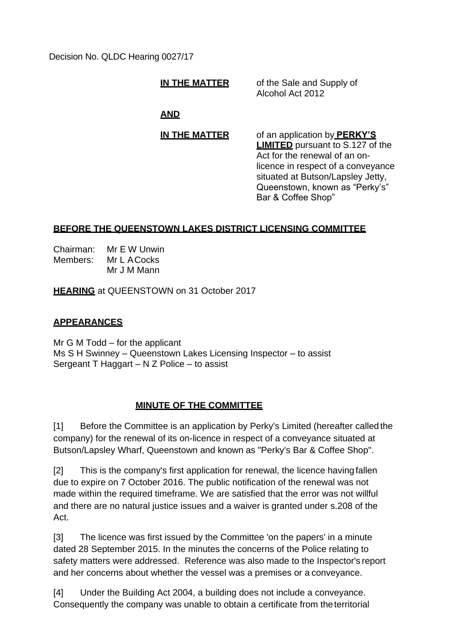Decision No. QLDC Hearing 0027/17

**IN THE MATTER** of the Sale and Supply of Alcohol Act 2012

# **AND**

**IN THE MATTER** of an application by **PERKY'S LIMITED** pursuant to S.127 of the Act for the renewal of an onlicence in respect of a conveyance situated at Butson/Lapsley Jetty, Queenstown, known as "Perky's" Bar & Coffee Shop"

## **BEFORE THE QUEENSTOWN LAKES DISTRICT LICENSING COMMITTEE**

Chairman: Mr E W Unwin Members: Mr L ACocks Mr J M Mann

**HEARING** at QUEENSTOWN on 31 October 2017

## **APPEARANCES**

Mr G M Todd – for the applicant Ms S H Swinney – Queenstown Lakes Licensing Inspector – to assist Sergeant T Haggart – N Z Police – to assist

## **MINUTE OF THE COMMITTEE**

[1] Before the Committee is an application by Perky's Limited (hereafter called the company) for the renewal of its on-licence in respect of a conveyance situated at Butson/Lapsley Wharf, Queenstown and known as "Perky's Bar & Coffee Shop".

[2] This is the company's first application for renewal, the licence having fallen due to expire on 7 October 2016. The public notification of the renewal was not made within the required timeframe. We are satisfied that the error was not willful and there are no natural justice issues and a waiver is granted under s.208 of the Act.

[3] The licence was first issued by the Committee 'on the papers' in a minute dated 28 September 2015. In the minutes the concerns of the Police relating to safety matters were addressed. Reference was also made to the Inspector's report and her concerns about whether the vessel was a premises or a conveyance.

[4] Under the Building Act 2004, a building does not include a conveyance. Consequently the company was unable to obtain a certificate from theterritorial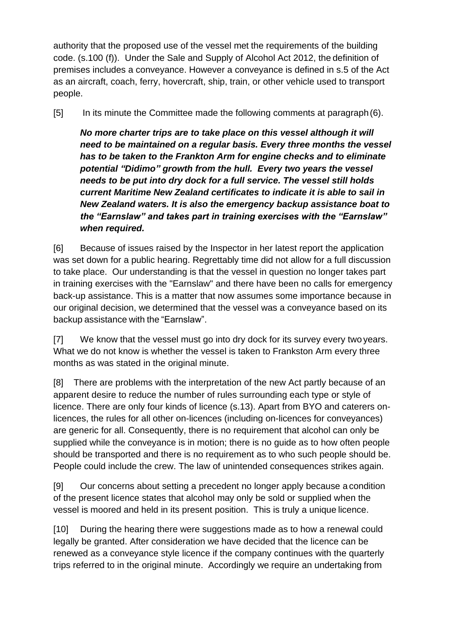authority that the proposed use of the vessel met the requirements of the building code. (s.100 (f)). Under the Sale and Supply of Alcohol Act 2012, the definition of premises includes a conveyance. However a conveyance is defined in s.5 of the Act as an aircraft, coach, ferry, hovercraft, ship, train, or other vehicle used to transport people.

[5] In its minute the Committee made the following comments at paragraph(6).

*No more charter trips are to take place on this vessel although it will need to be maintained on a regular basis. Every three months the vessel has to be taken to the Frankton Arm for engine checks and to eliminate potential "Didimo" growth from the hull. Every two years the vessel needs to be put into dry dock for a full service. The vessel still holds current Maritime New Zealand certificates to indicate it is able to sail in New Zealand waters. It is also the emergency backup assistance boat to the "Earnslaw" and takes part in training exercises with the "Earnslaw" when required.*

[6] Because of issues raised by the Inspector in her latest report the application was set down for a public hearing. Regrettably time did not allow for a full discussion to take place. Our understanding is that the vessel in question no longer takes part in training exercises with the "Earnslaw" and there have been no calls for emergency back-up assistance. This is a matter that now assumes some importance because in our original decision, we determined that the vessel was a conveyance based on its backup assistance with the "Earnslaw".

[7] We know that the vessel must go into dry dock for its survey every two years. What we do not know is whether the vessel is taken to Frankston Arm every three months as was stated in the original minute.

[8] There are problems with the interpretation of the new Act partly because of an apparent desire to reduce the number of rules surrounding each type or style of licence. There are only four kinds of licence (s.13). Apart from BYO and caterers onlicences, the rules for all other on-licences (including on-licences for conveyances) are generic for all. Consequently, there is no requirement that alcohol can only be supplied while the conveyance is in motion; there is no guide as to how often people should be transported and there is no requirement as to who such people should be. People could include the crew. The law of unintended consequences strikes again.

[9] Our concerns about setting a precedent no longer apply because a condition of the present licence states that alcohol may only be sold or supplied when the vessel is moored and held in its present position. This is truly a unique licence.

[10] During the hearing there were suggestions made as to how a renewal could legally be granted. After consideration we have decided that the licence can be renewed as a conveyance style licence if the company continues with the quarterly trips referred to in the original minute. Accordingly we require an undertaking from